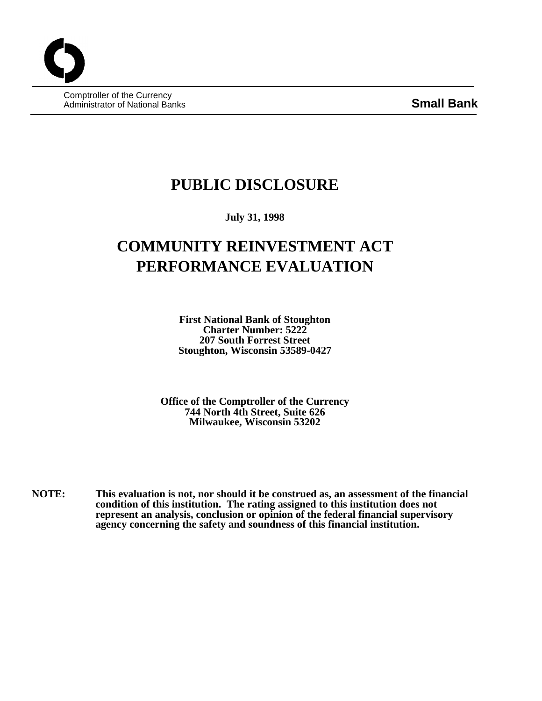Comptroller of the Currency Administrator of National Banks **Small Bank**

## **PUBLIC DISCLOSURE**

**July 31, 1998**

# **COMMUNITY REINVESTMENT ACT PERFORMANCE EVALUATION**

**First National Bank of Stoughton Charter Number: 5222 207 South Forrest Street Stoughton, Wisconsin 53589-0427**

**Office of the Comptroller of the Currency 744 North 4th Street, Suite 626 Milwaukee, Wisconsin 53202**

**NOTE: This evaluation is not, nor should it be construed as, an assessment of the financial condition of this institution. The rating assigned to this institution does not represent an analysis, conclusion or opinion of the federal financial supervisory agency concerning the safety and soundness of this financial institution.**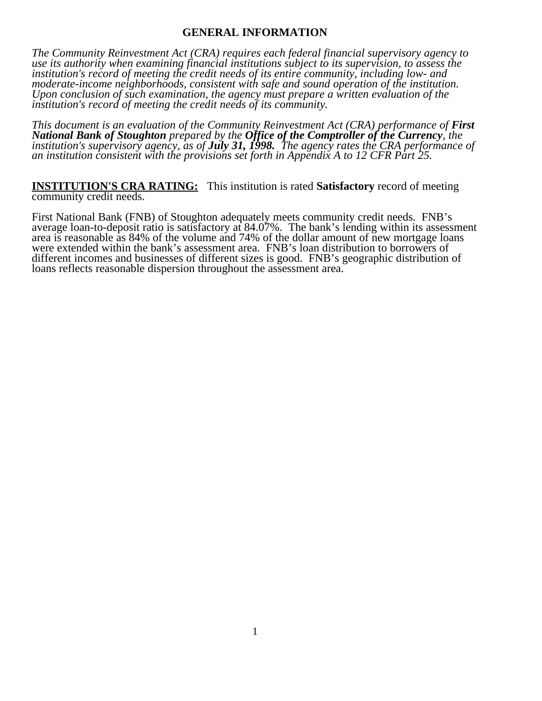### **GENERAL INFORMATION**

*The Community Reinvestment Act (CRA) requires each federal financial supervisory agency to use its authority when examining financial institutions subject to its supervision, to assess the institution's record of meeting the credit needs of its entire community, including low- and moderate-income neighborhoods, consistent with safe and sound operation of the institution. Upon conclusion of such examination, the agency must prepare a written evaluation of the institution's record of meeting the credit needs of its community.* 

*This document is an evaluation of the Community Reinvestment Act (CRA) performance of First National Bank of Stoughton prepared by the Office of the Comptroller of the Currency, the institution's supervisory agency, as of July 31, 1998. The agency rates the CRA performance of an institution consistent with the provisions set forth in Appendix A to 12 CFR Part 25.*

**INSTITUTION'S CRA RATING:** This institution is rated **Satisfactory** record of meeting community credit needs.

First National Bank (FNB) of Stoughton adequately meets community credit needs. FNB's average loan-to-deposit ratio is satisfactory at 84.07%. The bank's lending within its assessment area is reasonable as 84% of the volume and 74% of the dollar amount of new mortgage loans were extended within the bank's assessment area. FNB's loan distribution to borrowers of different incomes and businesses of different sizes is good. FNB's geographic distribution of loans reflects reasonable dispersion throughout the assessment area.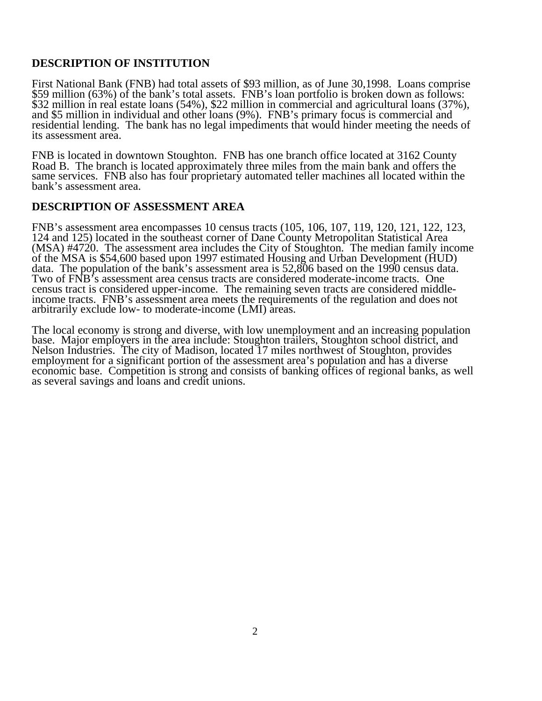## **DESCRIPTION OF INSTITUTION**

First National Bank (FNB) had total assets of \$93 million, as of June 30,1998. Loans comprise \$59 million (63%) of the bank's total assets. FNB's loan portfolio is broken down as follows: \$32 million in real estate loans (54%), \$22 million in commercial and agricultural loans (37%), and \$5 million in individual and other loans (9%). FNB's primary focus is commercial and  $\frac{1}{2}$ residential lending. The bank has no legal impediments that would hinder meeting the needs of its assessment area.

FNB is located in downtown Stoughton. FNB has one branch office located at 3162 County Road B. The branch is located approximately three miles from the main bank and offers the same services. FNB also has four proprietary automated teller machines all located within the bank's assessment area.

## **DESCRIPTION OF ASSESSMENT AREA**

FNB's assessment area encompasses 10 census tracts (105, 106, 107, 119, 120, 121, 122, 123, 124 and 125) located in the southeast corner of Dane County Metropolitan Statistical Area (MSA) #4720. The assessment area includes the City of Stoughton. The median family income of the MSA is \$54,600 based upon 1997 estimated Housing and Urban Development (HUD) data. The population of the bank's assessment area is 52,806 based on the 1990 census data. Two of FNB's assessment area census tracts are considered moderate-income tracts. One census tract is considered upper-income. The remaining seven tracts are considered middleincome tracts. FNB's assessment area meets the requirements of the regulation and does not arbitrarily exclude low- to moderate-income (LMI) areas.

The local economy is strong and diverse, with low unemployment and an increasing population base. Major employers in the area include: Stoughton trailers, Stoughton school district, and Nelson Industries. The city of Madison, located 17 miles northwest of Stoughton, provides employment for a significant portion of the assessment area's population and has a diverse economic base. Competition is strong and consists of banking offices of regional banks, as well as several savings and loans and credit unions.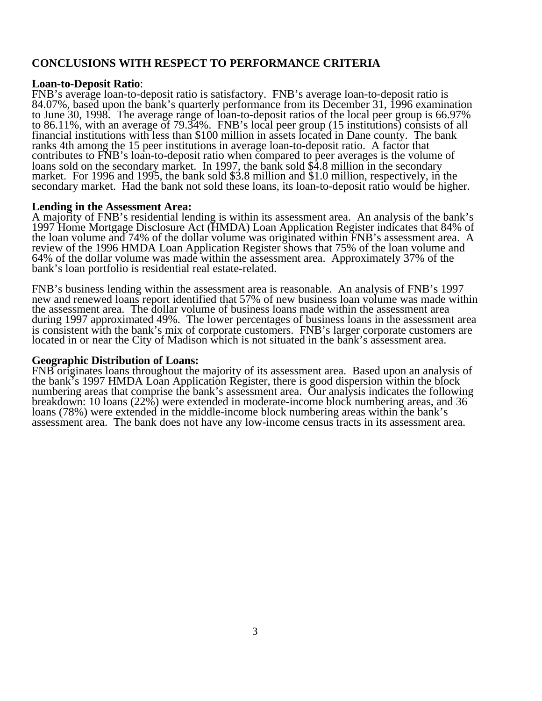## **CONCLUSIONS WITH RESPECT TO PERFORMANCE CRITERIA**

#### **Loan-to-Deposit Ratio**:

FNB's average loan-to-deposit ratio is satisfactory. FNB's average loan-to-deposit ratio is 84.07%, based upon the bank's quarterly performance from its December 31, 1996 examination to June 30, 1998. The average range of loan-to-deposit ratios of the local peer group is 66.97% to 86.11%, with an average of 79.34%. FNB's local peer group (15 institutions) consists of all financial institutions with less than \$100 million in assets located in Dane county. The bank ranks 4th among the 15 peer institutions in average loan-to-deposit ratio. A factor that contributes to FNB's loan-to-deposit ratio when compared to peer averages is the volume of loans sold on the secondary market. In 1997, the bank sold \$4.8 million in the secondary market. For 1996 and 1995, the bank sold \$3.8 million and \$1.0 million, respectively, in the secondary market. Had the bank not sold these loans, its loan-to-deposit ratio would be higher.

#### **Lending in the Assessment Area:**

A majority of FNB's residential lending is within its assessment area. An analysis of the bank's 1997 Home Mortgage Disclosure Act (HMDA) Loan Application Register indicates that 84% of the loan volume and 74% of the dollar volume was originated within FNB's assessment area. A review of the 1996 HMDA Loan Application Register shows that 75% of the loan volume and 64% of the dollar volume was made within the assessment area. Approximately 37% of the bank's loan portfolio is residential real estate-related.

FNB's business lending within the assessment area is reasonable. An analysis of FNB's 1997 new and renewed loans report identified that 57% of new business loan volume was made within the assessment area. The dollar volume of business loans made within the assessment area during 1997 approximated 49%. The lower percentages of business loans in the assessment area is consistent with the bank's mix of corporate customers. FNB's larger corporate customers are located in or near the City of Madison which is not situated in the bank's assessment area.

#### **Geographic Distribution of Loans:**

FNB originates loans throughout the majority of its assessment area. Based upon an analysis of the bank's 1997 HMDA Loan Application Register, there is good dispersion within the block numbering areas that comprise the bank's assessment area. Our analysis indicates the following breakdown: 10 loans (22%) were extended in moderate-income block numbering areas, and 36 loans (78%) were extended in the middle-income block numbering areas within the bank's assessment area. The bank does not have any low-income census tracts in its assessment area.